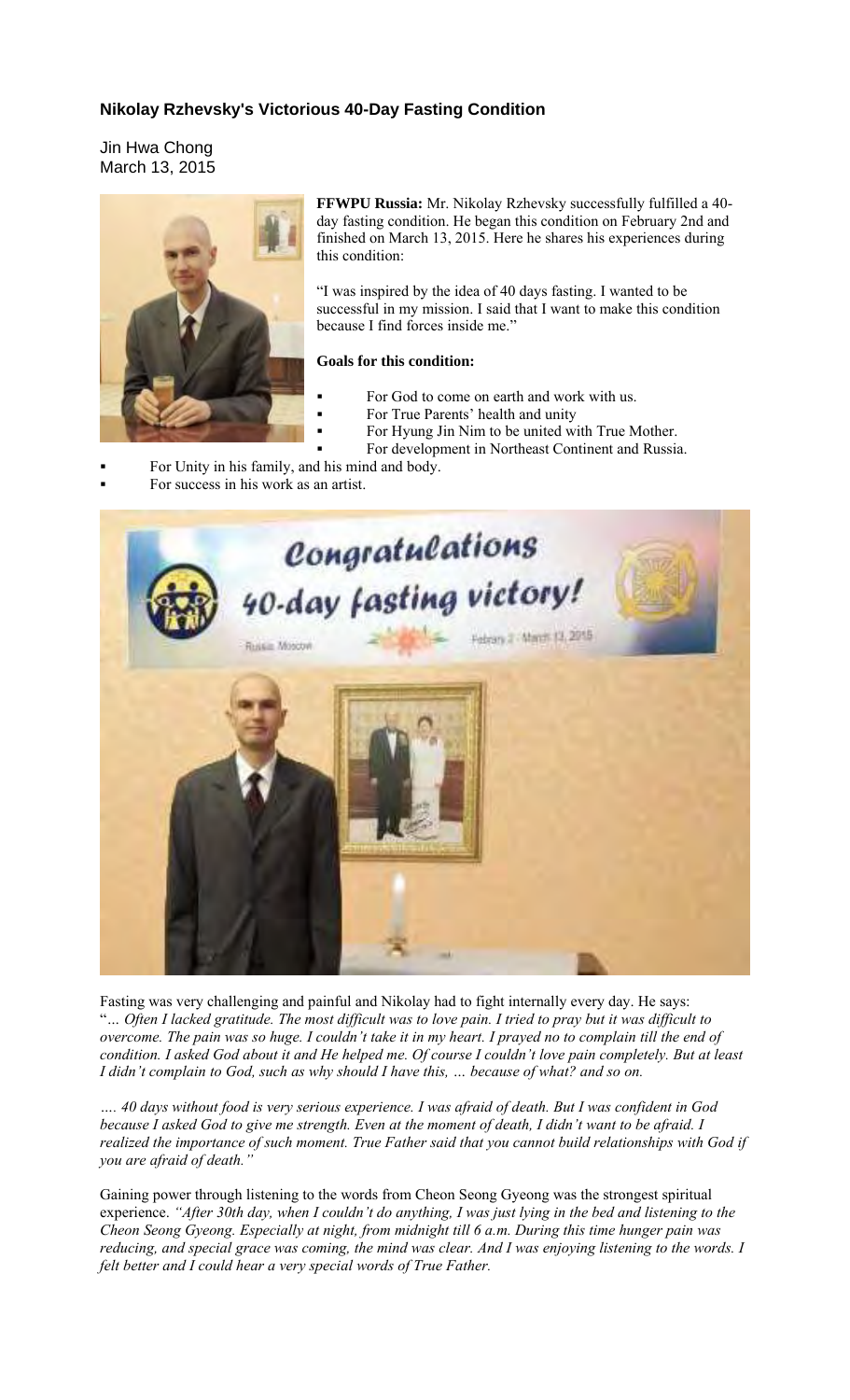## **Nikolay Rzhevsky's Victorious 40-Day Fasting Condition**

Jin Hwa Chong March 13, 2015



**FFWPU Russia:** Mr. Nikolay Rzhevsky successfully fulfilled a 40 day fasting condition. He began this condition on February 2nd and finished on March 13, 2015. Here he shares his experiences during this condition:

"I was inspired by the idea of 40 days fasting. I wanted to be successful in my mission. I said that I want to make this condition because I find forces inside me."

## **Goals for this condition:**

- For God to come on earth and work with us.
- For True Parents' health and unity
- For Hyung Jin Nim to be united with True Mother.
- For development in Northeast Continent and Russia.

For Unity in his family, and his mind and body.

For success in his work as an artist.



Fasting was very challenging and painful and Nikolay had to fight internally every day. He says: "*… Often I lacked gratitude. The most difficult was to love pain. I tried to pray but it was difficult to overcome. The pain was so huge. I couldn't take it in my heart. I prayed no to complain till the end of condition. I asked God about it and He helped me. Of course I couldn't love pain completely. But at least I didn't complain to God, such as why should I have this, … because of what? and so on.* 

*…. 40 days without food is very serious experience. I was afraid of death. But I was confident in God because I asked God to give me strength. Even at the moment of death, I didn't want to be afraid. I realized the importance of such moment. True Father said that you cannot build relationships with God if you are afraid of death."* 

Gaining power through listening to the words from Cheon Seong Gyeong was the strongest spiritual experience. *"After 30th day, when I couldn't do anything, I was just lying in the bed and listening to the Cheon Seong Gyeong. Especially at night, from midnight till 6 a.m. During this time hunger pain was reducing, and special grace was coming, the mind was clear. And I was enjoying listening to the words. I felt better and I could hear a very special words of True Father.*